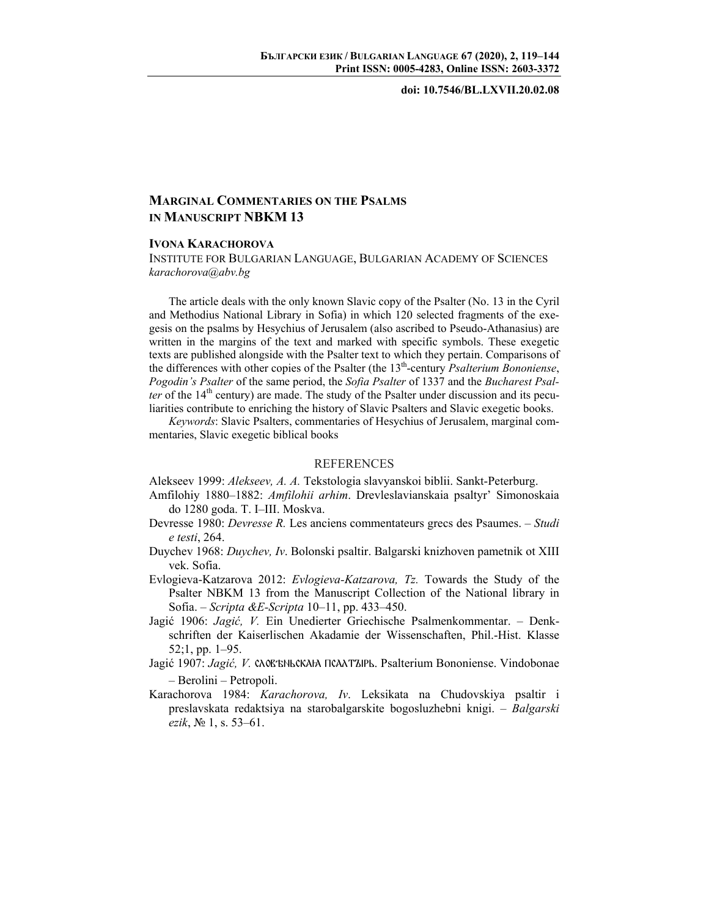## **doi: 10.7546/BL.LXVII.20.02.08**

## **MARGINAL COMMENTARIES ON THE PSALMS IN MANUSCRIPT NBKM 13**

## **IVONA KARACHOROVA**

INSTITUTE FOR BULGARIAN LANGUAGE, BULGARIAN ACADEMY OF SCIENCES *karachorova@abv.bg*

The article deals with the only known Slavic copy of the Psalter (No. 13 in the Cyril and Methodius National Library in Sofia) in which 120 selected fragments of the exegesis on the psalms by Hesychius of Jerusalem (also ascribed to Pseudo-Athanasius) are written in the margins of the text and marked with specific symbols. These exegetic texts are published alongside with the Psalter text to which they pertain. Comparisons of the differences with other copies of the Psalter (the 13<sup>th</sup>-century *Psalterium Bononiense*, *Pogodin's Psalter* of the same period, the *Sofia Psalter* of 1337 and the *Bucharest Psalter* of the  $14<sup>th</sup>$  century) are made. The study of the Psalter under discussion and its peculiarities contribute to enriching the history of Slavic Psalters and Slavic exegetic books.

*Keywords*: Slavic Psalters, commentaries of Hesychius of Jerusalem, marginal commentaries, Slavic exegetic biblical books

## REFERENCES

Alekseev 1999: *Alekseev, A. A.* Tekstologia slavyanskoi biblii. Sankt-Peterburg.

- Amfilohiy 1880–1882: *Amfilohii arhim*. Drevleslavianskaia psaltyr' Simonoskaia do 1280 goda. T. I–III. Moskva.
- Devresse 1980: *Devresse R.* Les anciens commentateurs grecs des Psaumes. *Studi e testi*, 264.
- Duychev 1968: *Duychev, Iv*. Bolonski psaltir. Balgarski knizhoven pametnik ot XIII vek. Sofia.
- Evlogieva-Katzarova 2012: *Evlogieva-Katzarova, Tz.* Towards the Study of the Psalter NBKM 13 from the Manuscript Collection of the National library in Sofia. – *Scripta &E-Scripta* 10–11, pp. 433–450.
- Jagić 1906: *Jagić, V.* Ein Unedierter Griechische Psalmenkommentar. Denkschriften der Kaiserlischen Akadamie der Wissenschaften, Phil.-Hist. Klasse 52;1, pp. 1–95.
- Jagić 1907: *Jagić*, V. CAO ENLCKAHA INCAATZIPL. Psalterium Bononiense. Vindobonae – Berolini – Petropoli.
- Karachorova 1984: *Karachorova, Iv*. Leksikata na Chudovskiya psaltir i preslavskata redaktsiya na starobalgarskite bogosluzhebni knigi. – *Balgarski ezik*, № 1, s. 53–61.